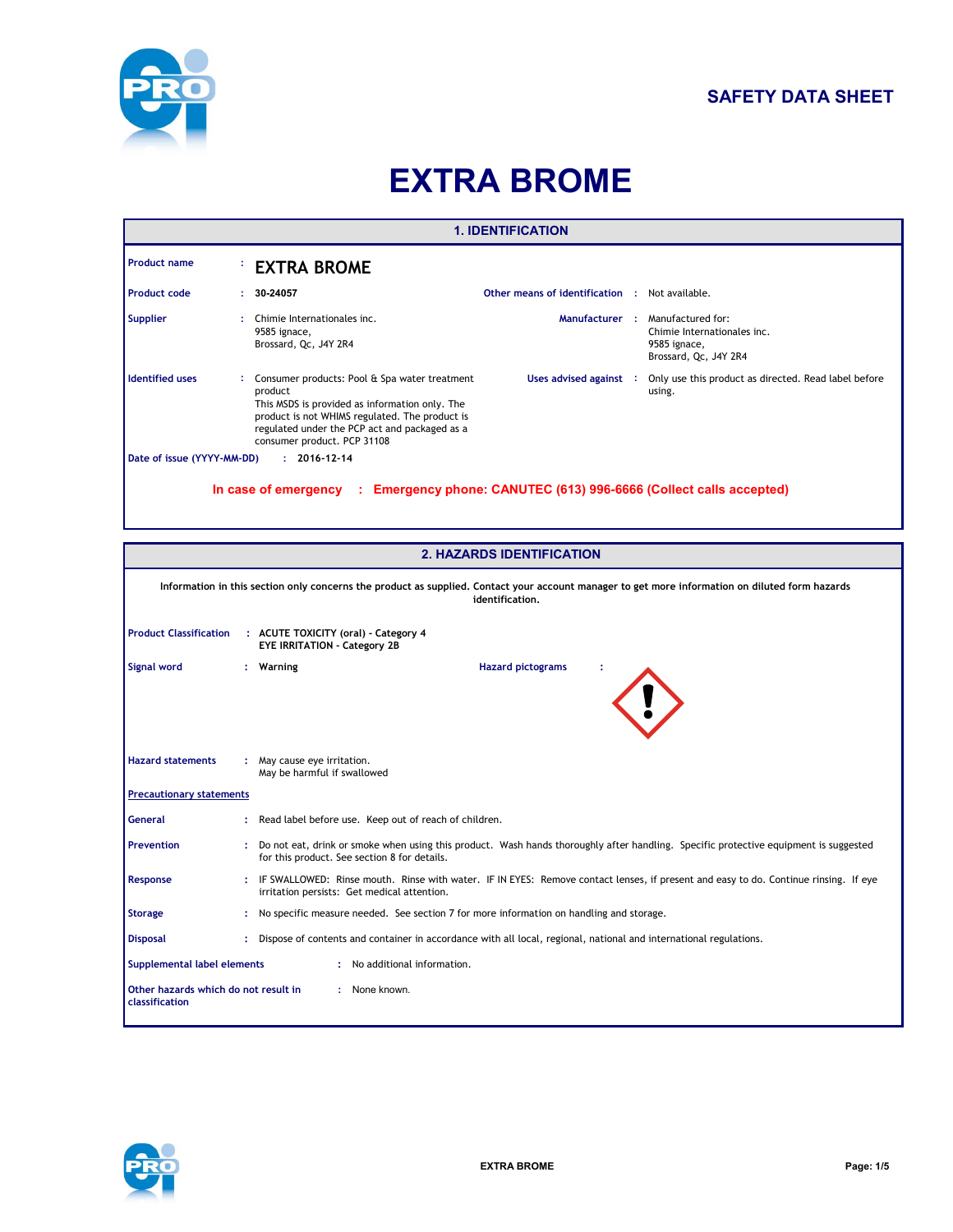

# **SAFETY DATA SHEET**

# **EXTRA BROME**

| <b>1. IDENTIFICATION</b>                                                                       |    |                                                                                                                                                                                                                                              |                                                       |  |                                                                                           |  |  |
|------------------------------------------------------------------------------------------------|----|----------------------------------------------------------------------------------------------------------------------------------------------------------------------------------------------------------------------------------------------|-------------------------------------------------------|--|-------------------------------------------------------------------------------------------|--|--|
| <b>Product name</b>                                                                            |    | <b>EXTRA BROME</b>                                                                                                                                                                                                                           |                                                       |  |                                                                                           |  |  |
| <b>Product code</b>                                                                            | ÷. | 30-24057                                                                                                                                                                                                                                     | <b>Other means of identification : Not available.</b> |  |                                                                                           |  |  |
| <b>Supplier</b>                                                                                |    | Chimie Internationales inc.<br>9585 ignace,<br>Brossard, Qc, J4Y 2R4                                                                                                                                                                         | Manufacturer :                                        |  | Manufactured for:<br>Chimie Internationales inc.<br>9585 ignace,<br>Brossard, Qc, J4Y 2R4 |  |  |
| <b>Identified uses</b>                                                                         |    | Consumer products: Pool & Spa water treatment<br>product<br>This MSDS is provided as information only. The<br>product is not WHIMS regulated. The product is<br>regulated under the PCP act and packaged as a<br>consumer product. PCP 31108 | Uses advised against :                                |  | Only use this product as directed. Read label before<br>using.                            |  |  |
| Date of issue (YYYY-MM-DD)<br>$: 2016 - 12 - 14$                                               |    |                                                                                                                                                                                                                                              |                                                       |  |                                                                                           |  |  |
| Emergency phone: CANUTEC (613) 996-6666 (Collect calls accepted)<br>In case of emergency<br>÷. |    |                                                                                                                                                                                                                                              |                                                       |  |                                                                                           |  |  |

| <b>2. HAZARDS IDENTIFICATION</b>                                        |                                                                                                                                                                    |                                                                                                                                                                                      |  |  |  |  |
|-------------------------------------------------------------------------|--------------------------------------------------------------------------------------------------------------------------------------------------------------------|--------------------------------------------------------------------------------------------------------------------------------------------------------------------------------------|--|--|--|--|
|                                                                         | Information in this section only concerns the product as supplied. Contact your account manager to get more information on diluted form hazards<br>identification. |                                                                                                                                                                                      |  |  |  |  |
| <b>Product Classification</b>                                           |                                                                                                                                                                    | : ACUTE TOXICITY (oral) - Category 4<br><b>EYE IRRITATION - Category 2B</b>                                                                                                          |  |  |  |  |
| Signal word                                                             |                                                                                                                                                                    | <b>Hazard pictograms</b><br>Warning                                                                                                                                                  |  |  |  |  |
| <b>Hazard statements</b>                                                |                                                                                                                                                                    | : May cause eye irritation.<br>May be harmful if swallowed                                                                                                                           |  |  |  |  |
| <b>Precautionary statements</b>                                         |                                                                                                                                                                    |                                                                                                                                                                                      |  |  |  |  |
| <b>General</b>                                                          |                                                                                                                                                                    | Read label before use. Keep out of reach of children.                                                                                                                                |  |  |  |  |
| <b>Prevention</b>                                                       |                                                                                                                                                                    | Do not eat, drink or smoke when using this product. Wash hands thoroughly after handling. Specific protective equipment is suggested<br>for this product. See section 8 for details. |  |  |  |  |
| Response                                                                |                                                                                                                                                                    | IF SWALLOWED: Rinse mouth. Rinse with water. IF IN EYES: Remove contact lenses, if present and easy to do. Continue rinsing. If eye<br>irritation persists: Get medical attention.   |  |  |  |  |
| <b>Storage</b>                                                          |                                                                                                                                                                    | No specific measure needed. See section 7 for more information on handling and storage.                                                                                              |  |  |  |  |
| <b>Disposal</b>                                                         |                                                                                                                                                                    | Dispose of contents and container in accordance with all local, regional, national and international regulations.                                                                    |  |  |  |  |
|                                                                         | : No additional information.<br>Supplemental label elements                                                                                                        |                                                                                                                                                                                      |  |  |  |  |
| Other hazards which do not result in<br>: None known.<br>classification |                                                                                                                                                                    |                                                                                                                                                                                      |  |  |  |  |

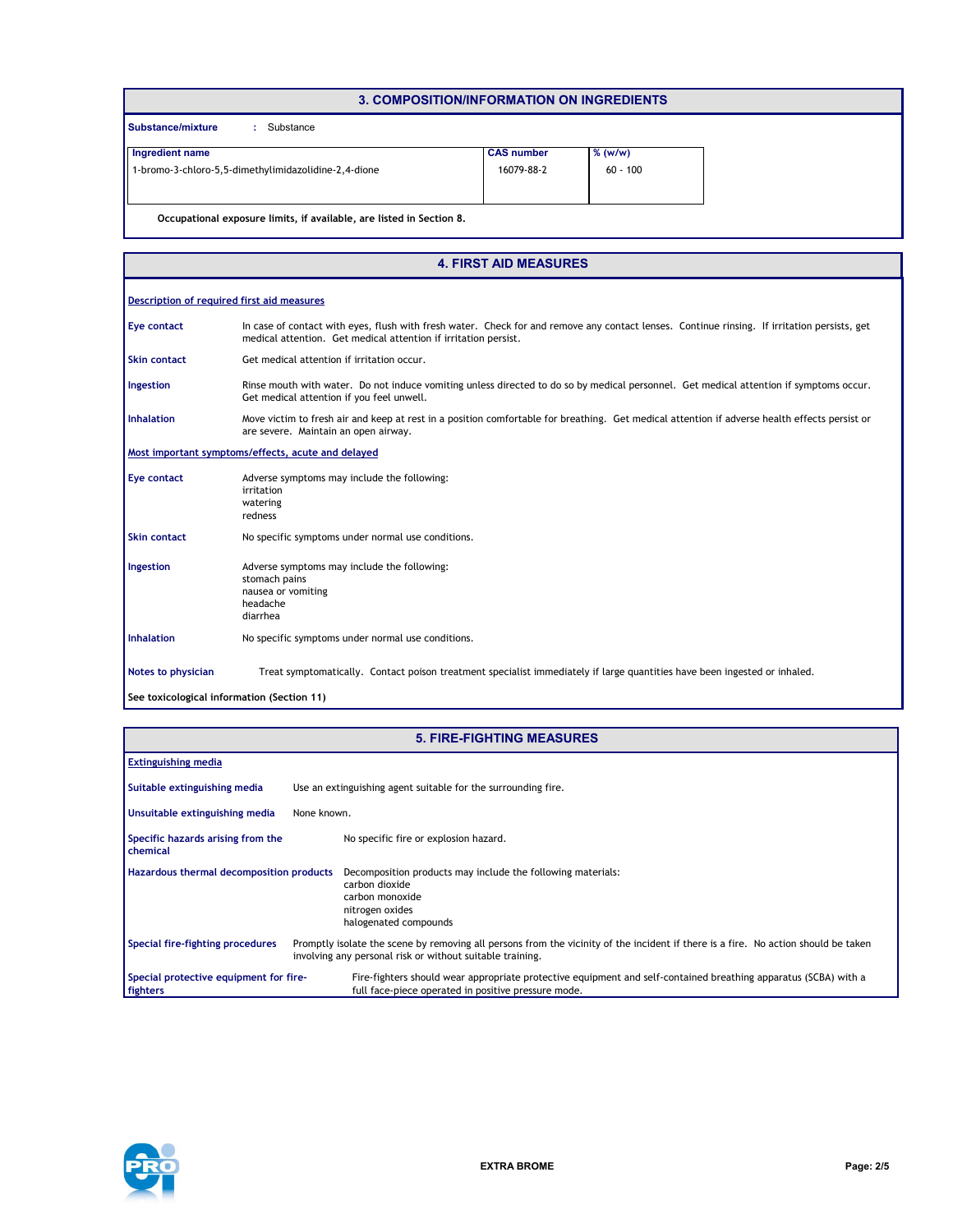| 3. COMPOSITION/INFORMATION ON INGREDIENTS                            |                   |            |  |  |  |  |
|----------------------------------------------------------------------|-------------------|------------|--|--|--|--|
| Substance/mixture<br>Substance                                       |                   |            |  |  |  |  |
| Ingredient name                                                      | <b>CAS number</b> | $%$ (w/w)  |  |  |  |  |
| 1-bromo-3-chloro-5,5-dimethylimidazolidine-2,4-dione                 | 16079-88-2        | $60 - 100$ |  |  |  |  |
|                                                                      |                   |            |  |  |  |  |
| Occupational exposure limits, if available, are listed in Section 8. |                   |            |  |  |  |  |

|                                            | <b>4. FIRST AID MEASURES</b>                                                                                                                                                                                    |  |  |  |  |
|--------------------------------------------|-----------------------------------------------------------------------------------------------------------------------------------------------------------------------------------------------------------------|--|--|--|--|
| Description of required first aid measures |                                                                                                                                                                                                                 |  |  |  |  |
| Eye contact                                | In case of contact with eyes, flush with fresh water. Check for and remove any contact lenses. Continue rinsing. If irritation persists, get<br>medical attention. Get medical attention if irritation persist. |  |  |  |  |
| <b>Skin contact</b>                        | Get medical attention if irritation occur.                                                                                                                                                                      |  |  |  |  |
| Ingestion                                  | Rinse mouth with water. Do not induce vomiting unless directed to do so by medical personnel. Get medical attention if symptoms occur.<br>Get medical attention if you feel unwell.                             |  |  |  |  |
| <b>Inhalation</b>                          | Move victim to fresh air and keep at rest in a position comfortable for breathing. Get medical attention if adverse health effects persist or<br>are severe. Maintain an open airway.                           |  |  |  |  |
|                                            | Most important symptoms/effects, acute and delayed                                                                                                                                                              |  |  |  |  |
| Eye contact                                | Adverse symptoms may include the following:<br>irritation<br>watering<br>redness                                                                                                                                |  |  |  |  |
| <b>Skin contact</b>                        | No specific symptoms under normal use conditions.                                                                                                                                                               |  |  |  |  |
| Ingestion                                  | Adverse symptoms may include the following:<br>stomach pains<br>nausea or vomiting<br>headache<br>diarrhea                                                                                                      |  |  |  |  |
| <b>Inhalation</b>                          | No specific symptoms under normal use conditions.                                                                                                                                                               |  |  |  |  |
| Notes to physician                         | Treat symptomatically. Contact poison treatment specialist immediately if large quantities have been ingested or inhaled.                                                                                       |  |  |  |  |
| See toxicological information (Section 11) |                                                                                                                                                                                                                 |  |  |  |  |

| <b>5. FIRE-FIGHTING MEASURES</b> |  |
|----------------------------------|--|
|                                  |  |

| <b>Extinguishing media</b>                         |                                                                                                                                                                                                 |
|----------------------------------------------------|-------------------------------------------------------------------------------------------------------------------------------------------------------------------------------------------------|
| Suitable extinguishing media                       | Use an extinguishing agent suitable for the surrounding fire.                                                                                                                                   |
| Unsuitable extinguishing media                     | None known.                                                                                                                                                                                     |
| Specific hazards arising from the<br>chemical      | No specific fire or explosion hazard.                                                                                                                                                           |
| Hazardous thermal decomposition products           | Decomposition products may include the following materials:<br>carbon dioxide<br>carbon monoxide<br>nitrogen oxides<br>halogenated compounds                                                    |
| Special fire-fighting procedures                   | Promptly isolate the scene by removing all persons from the vicinity of the incident if there is a fire. No action should be taken<br>involving any personal risk or without suitable training. |
| Special protective equipment for fire-<br>fighters | Fire-fighters should wear appropriate protective equipment and self-contained breathing apparatus (SCBA) with a<br>full face-piece operated in positive pressure mode.                          |



Г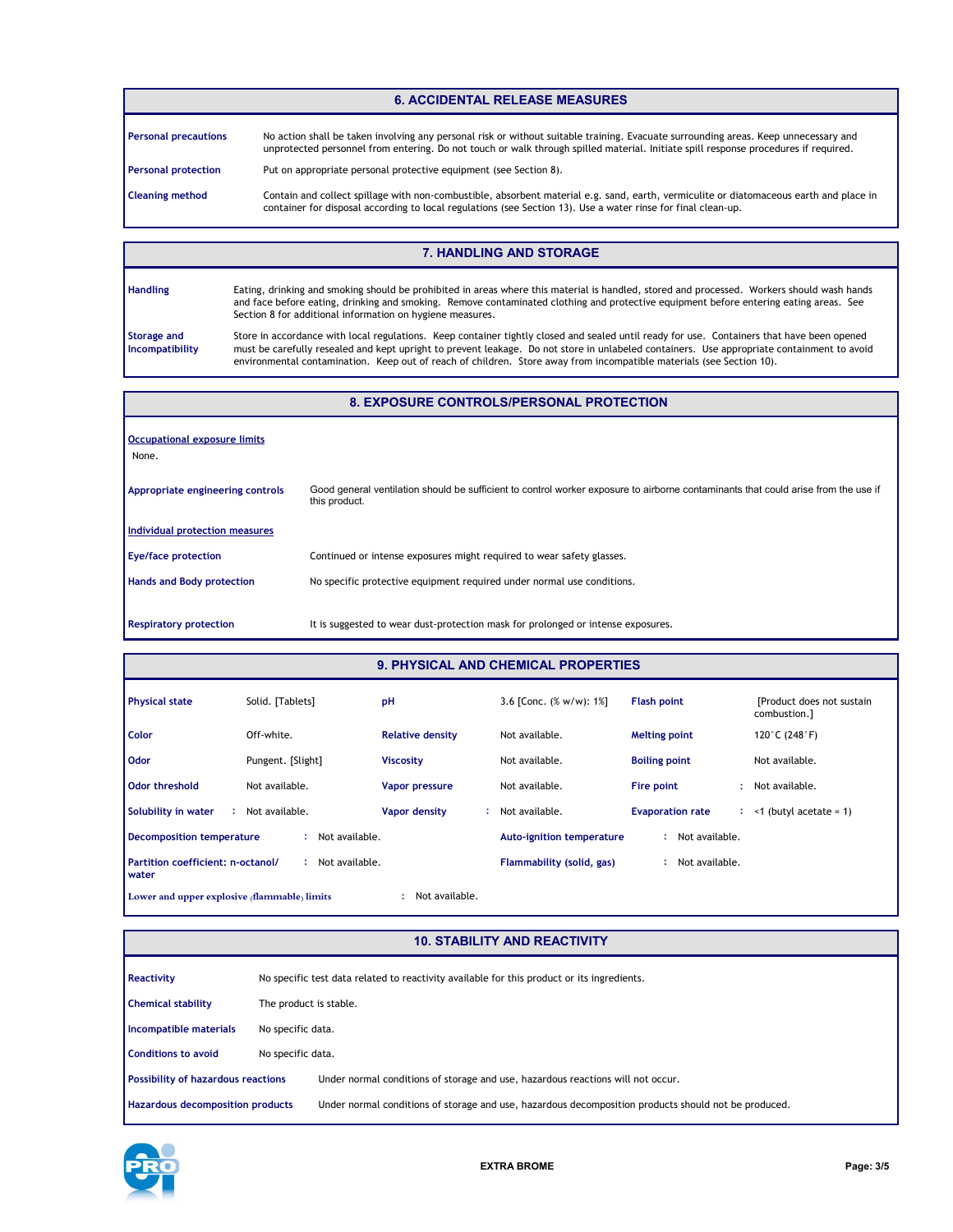#### **6. ACCIDENTAL RELEASE MEASURES**

| <b>Personal precautions</b> | No action shall be taken involving any personal risk or without suitable training. Evacuate surrounding areas. Keep unnecessary and<br>unprotected personnel from entering. Do not touch or walk through spilled material. Initiate spill response procedures if required. |
|-----------------------------|----------------------------------------------------------------------------------------------------------------------------------------------------------------------------------------------------------------------------------------------------------------------------|
| <b>Personal protection</b>  | Put on appropriate personal protective equipment (see Section 8).                                                                                                                                                                                                          |
| <b>Cleaning method</b>      | Contain and collect spillage with non-combustible, absorbent material e.g. sand, earth, vermiculite or diatomaceous earth and place in<br>container for disposal according to local regulations (see Section 13). Use a water rinse for final clean-up.                    |

#### **7. HANDLING AND STORAGE**

| <b>Handling</b>                       | Eating, drinking and smoking should be prohibited in areas where this material is handled, stored and processed. Workers should wash hands<br>and face before eating, drinking and smoking. Remove contaminated clothing and protective equipment before entering eating areas. See<br>Section 8 for additional information on hygiene measures.                                                                 |
|---------------------------------------|------------------------------------------------------------------------------------------------------------------------------------------------------------------------------------------------------------------------------------------------------------------------------------------------------------------------------------------------------------------------------------------------------------------|
| <b>Storage and</b><br>Incompatibility | Store in accordance with local regulations. Keep container tightly closed and sealed until ready for use. Containers that have been opened<br>must be carefully resealed and kept upright to prevent leakage. Do not store in unlabeled containers. Use appropriate containment to avoid<br>environmental contamination. Keep out of reach of children. Store away from incompatible materials (see Section 10). |

#### **8. EXPOSURE CONTROLS/PERSONAL PROTECTION**

| Occupational exposure limits<br>None. |                                                                                                                                                     |
|---------------------------------------|-----------------------------------------------------------------------------------------------------------------------------------------------------|
| Appropriate engineering controls      | Good general ventilation should be sufficient to control worker exposure to airborne contaminants that could arise from the use if<br>this product. |
| Individual protection measures        |                                                                                                                                                     |
| <b>Eye/face protection</b>            | Continued or intense exposures might required to wear safety glasses.                                                                               |
| <b>Hands and Body protection</b>      | No specific protective equipment required under normal use conditions.                                                                              |
| <b>Respiratory protection</b>         | It is suggested to wear dust-protection mask for prolonged or intense exposures.                                                                    |

#### **9. PHYSICAL AND CHEMICAL PROPERTIES**

an d

| <b>Physical state</b>                                          | Solid. [Tablets]    | pH                      | 3.6 [Conc. $(\% w/w)$ : 1%]      | <b>Flash point</b>      | [Product does not sustain]<br>combustion.] |  |  |
|----------------------------------------------------------------|---------------------|-------------------------|----------------------------------|-------------------------|--------------------------------------------|--|--|
| Color                                                          | Off-white.          | <b>Relative density</b> | Not available.                   | <b>Melting point</b>    | 120°C (248°F)                              |  |  |
| <b>Odor</b>                                                    | Pungent. [Slight]   | <b>Viscosity</b>        | Not available.                   | <b>Boiling point</b>    | Not available.                             |  |  |
| Odor threshold                                                 | Not available.      | Vapor pressure          | Not available.                   | Fire point              | Not available.                             |  |  |
| Solubility in water<br>÷                                       | Not available.      | Vapor density           | Not available.                   | <b>Evaporation rate</b> | $:$ <1 (butyl acetate = 1)                 |  |  |
| <b>Decomposition temperature</b>                               | Not available.<br>÷ |                         | <b>Auto-ignition temperature</b> | Not available.          |                                            |  |  |
| Partition coefficient: n-octanol/<br>water                     | Not available.<br>٠ |                         | Flammability (solid, gas)        | Not available.          |                                            |  |  |
| Not available.<br>Lower and upper explosive (flammable) limits |                     |                         |                                  |                         |                                            |  |  |

### **10. STABILITY AND REACTIVITY**

| <b>Reactivity</b>                         |                        | No specific test data related to reactivity available for this product or its ingredients.           |  |  |  |  |
|-------------------------------------------|------------------------|------------------------------------------------------------------------------------------------------|--|--|--|--|
| <b>Chemical stability</b>                 | The product is stable. |                                                                                                      |  |  |  |  |
| Incompatible materials                    | No specific data.      |                                                                                                      |  |  |  |  |
| <b>Conditions to avoid</b>                | No specific data.      |                                                                                                      |  |  |  |  |
| <b>Possibility of hazardous reactions</b> |                        | Under normal conditions of storage and use, hazardous reactions will not occur.                      |  |  |  |  |
| <b>Hazardous decomposition products</b>   |                        | Under normal conditions of storage and use, hazardous decomposition products should not be produced. |  |  |  |  |

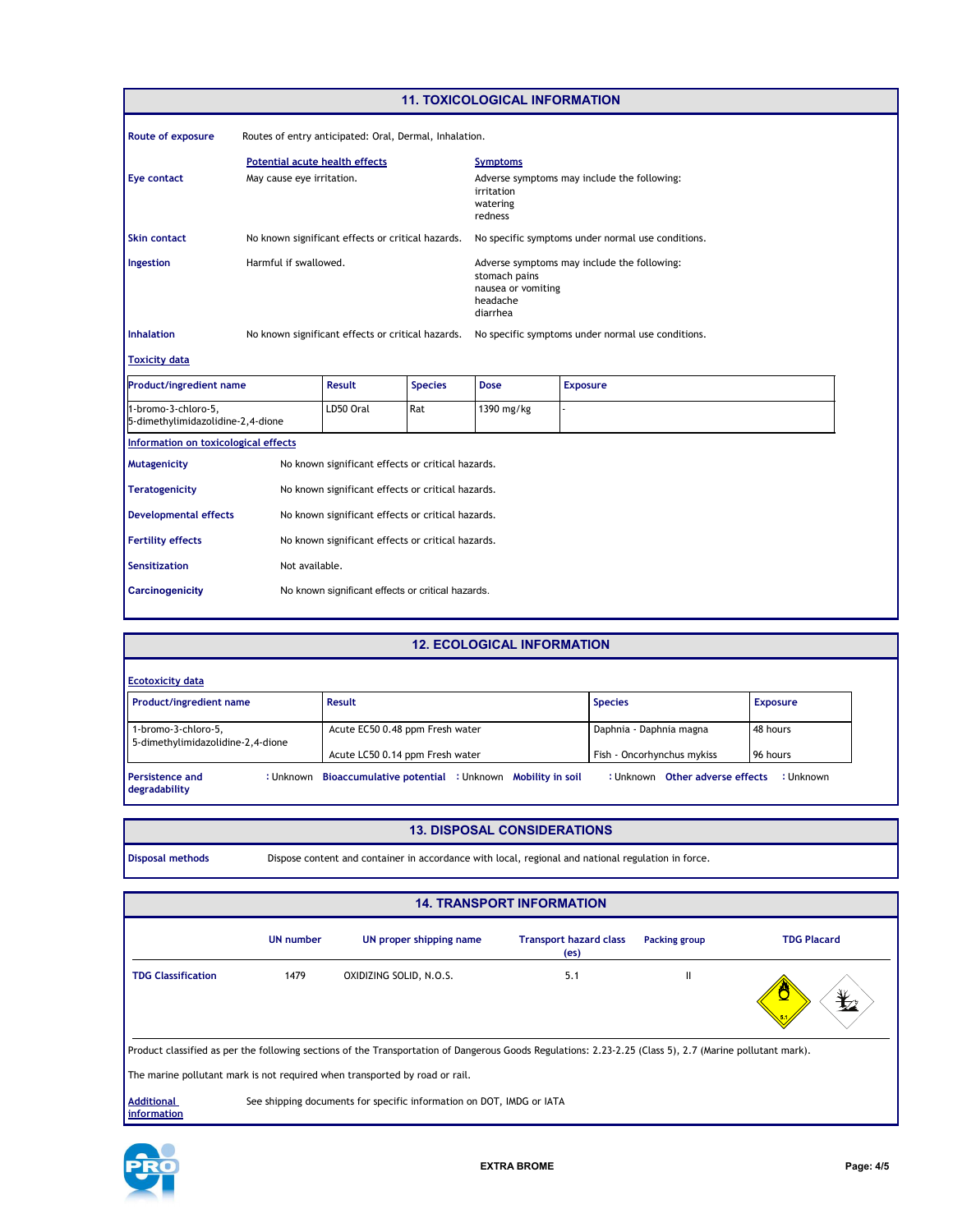| <b>11. TOXICOLOGICAL INFORMATION</b>                     |                                                        |                                                   |                                                                                                            |                                                                                  |                                                   |  |  |
|----------------------------------------------------------|--------------------------------------------------------|---------------------------------------------------|------------------------------------------------------------------------------------------------------------|----------------------------------------------------------------------------------|---------------------------------------------------|--|--|
| Route of exposure                                        | Routes of entry anticipated: Oral, Dermal, Inhalation. |                                                   |                                                                                                            |                                                                                  |                                                   |  |  |
|                                                          | <b>Potential acute health effects</b>                  |                                                   |                                                                                                            |                                                                                  |                                                   |  |  |
| Eye contact                                              | May cause eye irritation.                              |                                                   |                                                                                                            | Adverse symptoms may include the following:<br>irritation<br>watering<br>redness |                                                   |  |  |
| <b>Skin contact</b>                                      |                                                        | No known significant effects or critical hazards. |                                                                                                            |                                                                                  | No specific symptoms under normal use conditions. |  |  |
| Ingestion                                                | Harmful if swallowed.                                  |                                                   | Adverse symptoms may include the following:<br>stomach pains<br>nausea or vomiting<br>headache<br>diarrhea |                                                                                  |                                                   |  |  |
| <b>Inhalation</b>                                        |                                                        | No known significant effects or critical hazards. |                                                                                                            |                                                                                  | No specific symptoms under normal use conditions. |  |  |
| <b>Toxicity data</b>                                     |                                                        |                                                   |                                                                                                            |                                                                                  |                                                   |  |  |
| <b>Product/ingredient name</b>                           |                                                        | <b>Result</b>                                     | <b>Species</b>                                                                                             | <b>Dose</b>                                                                      | <b>Exposure</b>                                   |  |  |
| 1-bromo-3-chloro-5,<br>5-dimethylimidazolidine-2,4-dione |                                                        | LD50 Oral                                         | Rat                                                                                                        | 1390 mg/kg                                                                       |                                                   |  |  |
| Information on toxicological effects                     |                                                        |                                                   |                                                                                                            |                                                                                  |                                                   |  |  |
| <b>Mutagenicity</b>                                      |                                                        | No known significant effects or critical hazards. |                                                                                                            |                                                                                  |                                                   |  |  |
| <b>Teratogenicity</b>                                    |                                                        | No known significant effects or critical hazards. |                                                                                                            |                                                                                  |                                                   |  |  |
| <b>Developmental effects</b>                             |                                                        | No known significant effects or critical hazards. |                                                                                                            |                                                                                  |                                                   |  |  |
| <b>Fertility effects</b>                                 | No known significant effects or critical hazards.      |                                                   |                                                                                                            |                                                                                  |                                                   |  |  |
| Not available.<br><b>Sensitization</b>                   |                                                        |                                                   |                                                                                                            |                                                                                  |                                                   |  |  |
| <b>Carcinogenicity</b>                                   | No known significant effects or critical hazards.      |                                                   |                                                                                                            |                                                                                  |                                                   |  |  |

## **12. ECOLOGICAL INFORMATION**

| <b>Ecotoxicity data</b>                                  |           |                                                      |                                 |                 |
|----------------------------------------------------------|-----------|------------------------------------------------------|---------------------------------|-----------------|
| Product/ingredient name                                  |           | Result                                               | <b>Species</b>                  | <b>Exposure</b> |
| 1-bromo-3-chloro-5,<br>5-dimethylimidazolidine-2,4-dione |           | Acute EC50 0.48 ppm Fresh water                      | Daphnia - Daphnia magna         | 48 hours        |
|                                                          |           | Acute LC50 0.14 ppm Fresh water                      | Fish - Oncorhynchus mykiss      | 96 hours        |
| <b>Persistence and</b><br>degradability                  | : Unknown | Bioaccumulative potential : Unknown Mobility in soil | : Unknown Other adverse effects | : Unknown       |

#### **13. DISPOSAL CONSIDERATIONS**

**Disposal methods** Dispose content and container in accordance with local, regional and national regulation in force.

| <b>14. TRANSPORT INFORMATION</b>                                                                                                                         |                  |                         |                                       |               |                    |  |  |  |
|----------------------------------------------------------------------------------------------------------------------------------------------------------|------------------|-------------------------|---------------------------------------|---------------|--------------------|--|--|--|
|                                                                                                                                                          | <b>UN number</b> | UN proper shipping name | <b>Transport hazard class</b><br>(es) | Packing group | <b>TDG Placard</b> |  |  |  |
| <b>TDG Classification</b>                                                                                                                                | 1479             | OXIDIZING SOLID, N.O.S. | 5.1                                   | $\mathbf{I}$  | 芒                  |  |  |  |
| Product classified as per the following sections of the Transportation of Dangerous Goods Regulations: 2.23-2.25 (Class 5), 2.7 (Marine pollutant mark). |                  |                         |                                       |               |                    |  |  |  |
| The marine pollutant mark is not required when transported by road or rail.                                                                              |                  |                         |                                       |               |                    |  |  |  |
| <b>Additional</b><br>See shipping documents for specific information on DOT, IMDG or IATA                                                                |                  |                         |                                       |               |                    |  |  |  |

**Additional information**